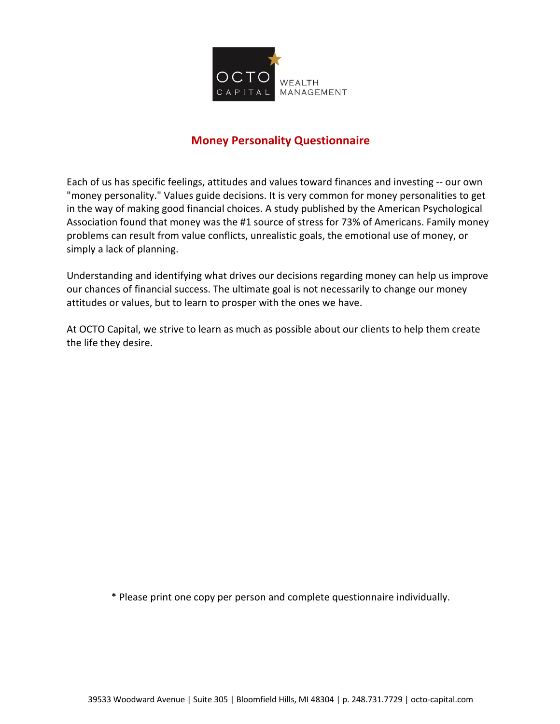

## **Money Personality Questionnaire**

Each of us has specific feelings, attitudes and values toward finances and investing -- our own "money personality." Values guide decisions. It is very common for money personalities to get in the way of making good financial choices. A study published by the American Psychological Association found that money was the #1 source of stress for 73% of Americans. Family money problems can result from value conflicts, unrealistic goals, the emotional use of money, or simply a lack of planning.

Understanding and identifying what drives our decisions regarding money can help us improve our chances of financial success. The ultimate goal is not necessarily to change our money attitudes or values, but to learn to prosper with the ones we have.

At OCTO Capital, we strive to learn as much as possible about our clients to help them create the life they desire.

\* Please print one copy per person and complete questionnaire individually.